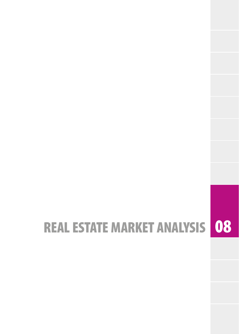# REAL ESTATE MARKET ANALYSIS 08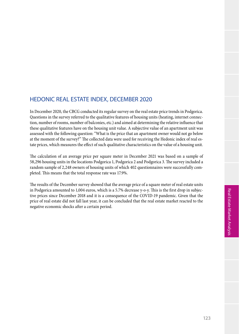## HEDONIC REAL ESTATE INDEX, DECEMBER 2020

In December 2020, the CBCG conducted its regular survey on the real estate price trends in Podgorica. Questions in the survey referred to the qualitative features of housing units (heating, internet connection, number of rooms, number of balconies, etc.) and aimed at determining the relative influence that these qualitative features have on the housing unit value. A subjective value of an apartment unit was assessed with the following question: "What is the price that an apartment owner would not go below at the moment of the survey?" The collected data were used for receiving the Hedonic index of real estate prices, which measures the effect of such qualitative characteristics on the value of a housing unit.

The calculation of an average price per square meter in December 2021 was based on a sample of 58,296 housing units in the locations Podgorica 1, Podgorica 2 and Podgorica 3. The survey included a random sample of 2,248 owners of housing units of which 402 questionnaires were successfully completed. This means that the total response rate was 17.9%.

The results of the December survey showed that the average price of a square meter of real estate units in Podgorica amounted to 1,004 euros, which is a 5.7% decrease y-o-y. This is the first drop in subjective prices since December 2018 and it is a consequence of the COVID-19 pandemic. Given that the price of real estate did not fall last year, it can be concluded that the real estate market reacted to the negative economic shocks after a certain period.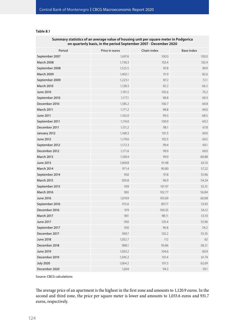#### **Table 8.1**

| Summary statistics of an average value of housing unit per square meter in Podgorica<br>on quarterly basis, in the period September 2007 - December 2020 |                |             |                   |  |  |  |
|----------------------------------------------------------------------------------------------------------------------------------------------------------|----------------|-------------|-------------------|--|--|--|
| Period                                                                                                                                                   | Price in euros | Chain index | <b>Base index</b> |  |  |  |
| September 2007                                                                                                                                           | 1,697.6        | 100.0       | 100.0             |  |  |  |
| <b>March 2008</b>                                                                                                                                        | 1,738.3        | 102.4       | 102.4             |  |  |  |
| September 2008                                                                                                                                           | 1,525.5        | 87.8        | 89.9              |  |  |  |
| <b>March 2009</b>                                                                                                                                        | 1,402.1        | 91.9        | 82.6              |  |  |  |
| September 2009                                                                                                                                           | 1,223.1        | 87.2        | 72.1              |  |  |  |
| <b>March 2010</b>                                                                                                                                        | 1,128.3        | 92.2        | 66.5              |  |  |  |
| June 2010                                                                                                                                                | 1,191.5        | 105.6       | 70.2              |  |  |  |
| September 2010                                                                                                                                           | 1,177.1        | 98.8        | 69.3              |  |  |  |
| December 2010                                                                                                                                            | 1,185.2        | 100.7       | 69.8              |  |  |  |
| March 2011                                                                                                                                               | 1,171.2        | 98.8        | 69.0              |  |  |  |
| June 2011                                                                                                                                                | 1,163.0        | 99.3        | 68.5              |  |  |  |
| September 2011                                                                                                                                           | 1,174.0        | 100.9       | 69.2              |  |  |  |
| December 2011                                                                                                                                            | 1,151.2        | 98.1        | 67.8              |  |  |  |
| January 2012                                                                                                                                             | 1,168.3        | 101.5       | 69.0              |  |  |  |
| June 2012                                                                                                                                                | 1,179.6        | 102.5       | 69.5              |  |  |  |
| September 2012                                                                                                                                           | 1,172.3        | 99.4        | 69.1              |  |  |  |
| December 2012                                                                                                                                            | 1,171.6        | 99.9        | 69.0              |  |  |  |
| <b>March 2013</b>                                                                                                                                        | 1,169.4        | 99.9        | 68.88             |  |  |  |
| June 2013                                                                                                                                                | 1,069.8        | 91.48       | 63.10             |  |  |  |
| <b>March 2014</b>                                                                                                                                        | 971.4          | 90.80       | 57.22             |  |  |  |
| September 2014                                                                                                                                           | 950            | 97.8        | 55.96             |  |  |  |
| <b>March 2015</b>                                                                                                                                        | 920.8          | 96.9        | 54.24             |  |  |  |
| September 2015                                                                                                                                           | 939            | 101.97      | 55.31             |  |  |  |
| <b>March 2016</b>                                                                                                                                        | 965            | 102.77      | 56.84             |  |  |  |
| June 2016                                                                                                                                                | 1,019.9        | 105.69      | 60.08             |  |  |  |
| September 2016                                                                                                                                           | 915.6          | 89.77       | 53.93             |  |  |  |
| December 2016                                                                                                                                            | 919            | 100.35      | 54.12             |  |  |  |
| <b>March 2017</b>                                                                                                                                        | 901            | 98.11       | 53.10             |  |  |  |
| June 2017                                                                                                                                                | 950            | 105.4       | 55.96             |  |  |  |
| September 2017                                                                                                                                           | 920            | 96.8        | 54.2              |  |  |  |
| December 2017                                                                                                                                            | 939.7          | 102.2       | 55.35             |  |  |  |
| <b>June 2018</b>                                                                                                                                         | 1,052.7        | 112         | 62                |  |  |  |
| December 2018                                                                                                                                            | 988.1          | 93.86       | 58.21             |  |  |  |
| June 2019                                                                                                                                                | 1,033.2        | 104.6       | 60.9              |  |  |  |
| December 2019                                                                                                                                            | 1,045.2        | 101.4       | 61.74             |  |  |  |
| <b>July 2020</b>                                                                                                                                         | 1,064.2        | 101.5       | 62.69             |  |  |  |
| December 2020                                                                                                                                            | 1,004          | 94.3        | 59.1              |  |  |  |

Source: CBCG calculations

The average price of an apartment is the highest in the first zone and amounts to 1,120.9 euros. In the second and third zone, the price per square meter is lower and amounts to 1,033.6 euros and 931.7 euros, respectively.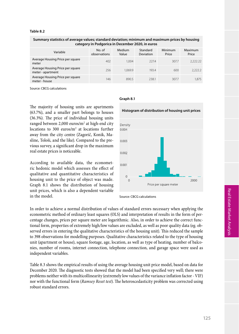#### **Table 8.2**

| Summary statistics of average values; standard deviation; minimum and maximum prices by housing<br>category in Podgorica in December 2020, in euros |                        |                 |                       |                  |                  |
|-----------------------------------------------------------------------------------------------------------------------------------------------------|------------------------|-----------------|-----------------------|------------------|------------------|
| Variable                                                                                                                                            | No. of<br>observations | Medium<br>Value | Standard<br>Deviation | Minimum<br>Price | Maximum<br>Price |
| Average Housing Price per square<br>meter                                                                                                           | 402                    | 1.004           | 227.4                 | 307.7            | 2.222.22         |
| Average Housing Price per square<br>meter - apartment                                                                                               | 256                    | 1.069.9         | 193.4                 | 600              | 2,222.2          |
| Average Housing Price per square<br>meter - house                                                                                                   | 146                    | 890.5           | 238.1                 | 307.7            | 1.875            |
|                                                                                                                                                     |                        |                 |                       |                  |                  |

Source: CBCG calculations

The majority of housing units are apartments (63.7%), and a smaller part belongs to houses (36.3%). The price of individual housing units ranged between  $2,000$  euros/ $m<sup>2</sup>$  at high-end city locations to 300 euros/ $m<sup>2</sup>$  at locations further away from the city centre (Zagorič, Konik, Masline, Tološi, and the like). Compared to the previous survey, a significant drop in the maximum real estate prices is noticeable.

According to available data, the econometric hedonic model which assesses the effect of qualitative and quantitative characteristics of housing unit to the price of object was made. Graph 8.1 shows the distribution of housing unit prices, which is also a dependent variable in the model.

#### **Graph 8.1**

**Histogram of distribution of housing unit prices**



Source: CBCG calculations

In order to achieve a normal distribution of values of standard errors necessary when applying the econometric method of ordinary least squares (OLS) and interpretation of results in the form of percentage changes, prices per square meter are logarithmic. Also, in order to achieve the correct functional form, properties of extremely high/low values are excluded, as well as poor quality data (eg. observed errors in entering the qualitative characteristics of the housing unit). This reduced the sample to 398 observations for modelling purposes. Qualitative characteristics related to the type of housing unit (apartment or house), square footage, age, location, as well as type of heating, number of balconies, number of rooms, internet connection, telephone connection, and garage space were used as independent variables.

Table 8.3 shows the empirical results of using the average housing unit price model, based on data for December 2020. The diagnostic tests showed that the model had been specified very well; there were problems neither with its multicollinearity (extremely low values of the variance inflation factor - VIF) nor with the functional form (*Ramsey Reset test*). The heteroscedasticity problem was corrected using robust standard errors.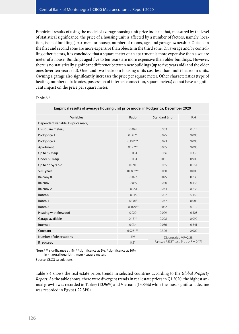Empirical results of using the model of average housing unit price indicate that, measured by the level of statistical significance, the price of a housing unit is affected by a number of factors, namely: location, type of building (apartment or house), number of rooms, age, and garage ownership. Objects in the first and second zone are more expensive than objects in the third zone. On average and by controlling other factors, it is concluded that a square meter of an apartment is more expensive than a square meter of a house. Buildings aged five to ten years are more expensive than older buildings. However, there is no statistically significant difference between new buildings (up to five years old) and the older ones (over ten years old). One- and two-bedroom housing units cost less than multi-bedroom units. Owning a garage also significantly increases the price per square meter. Other characteristics (type of heating, number of balconies, possession of internet connection, square meters) do not have a significant impact on the price per square meter.

#### **Table 8.3**

| Linpincal results of average housing unit price model in Fougonca, December 2020 |            |                                                                 |       |  |  |
|----------------------------------------------------------------------------------|------------|-----------------------------------------------------------------|-------|--|--|
| Variables                                                                        | Ratio      | <b>Standard Error</b>                                           | P > t |  |  |
| Dependent variable: In (price msqr)                                              |            |                                                                 |       |  |  |
| Ln (square meters)                                                               | $-0.041$   | 0.063                                                           | 0.513 |  |  |
| Podgorica 1                                                                      | $0.141***$ | 0.025                                                           | 0.000 |  |  |
| Podgorica 2                                                                      | $0.118***$ | 0.023                                                           | 0.000 |  |  |
| Apartment                                                                        | $0.197**$  | 0.035                                                           | 0.000 |  |  |
| Up to 65 msqr                                                                    | $-0.054$   | 0.066                                                           | 0.418 |  |  |
| Under 65 msgr                                                                    | $-0.004$   | 0.031                                                           | 0.908 |  |  |
| Up to do 5yrs old                                                                | 0.091      | 0.065                                                           | 0.164 |  |  |
| 5-10 years                                                                       | $0.080***$ | 0.030                                                           | 0.008 |  |  |
| Balcony 0                                                                        | $-0.072$   | 0.075                                                           | 0.335 |  |  |
| Balcony 1                                                                        | $-0.039$   | 0.050                                                           | 0.435 |  |  |
| <b>Balcony 2</b>                                                                 | $-0.051$   | 0.043                                                           | 0.238 |  |  |
| Room 0                                                                           | $-0.115$   | 0.082                                                           | 0.162 |  |  |
| Room 1                                                                           | $-0.081*$  | 0.047                                                           | 0.085 |  |  |
| Room 2                                                                           | $-0.079**$ | 0.032                                                           | 0.012 |  |  |
| Heating with firewood                                                            | 0.020      | 0.029                                                           | 0.503 |  |  |
| Garage available                                                                 | $0.161*$   | 0.098                                                           | 0.099 |  |  |
| Internet                                                                         | 0.034      | 0.036                                                           | 0.341 |  |  |
| Constant                                                                         | $6.923***$ | 0.306                                                           | 0.000 |  |  |
| Number of observations                                                           | 398        | Diagnostics: VIF=2.28;<br>Ramsey RESET test: $Prob > F = 0.171$ |       |  |  |
| R_squared                                                                        | 0.31       |                                                                 |       |  |  |

### **Empirical results of average housing unit price model in Podgorica, December 2020**

Note: \*\*\* significance at 1%, \*\* significance at 5%, \* significance at 10% ln - natural logarithm, msqr - square meters

Source: CBCG calculations

Table 8.4 shows the real estate prices trends in selected countries according to the *Global Property Report*. As the table shows, there were divergent trends in real estate prices in Q1 2020: the highest annual growth was recorded in Turkey (13.96%) and Vietnam (13.83%) while the most significant decline was recorded in Egypt (-22.31%).